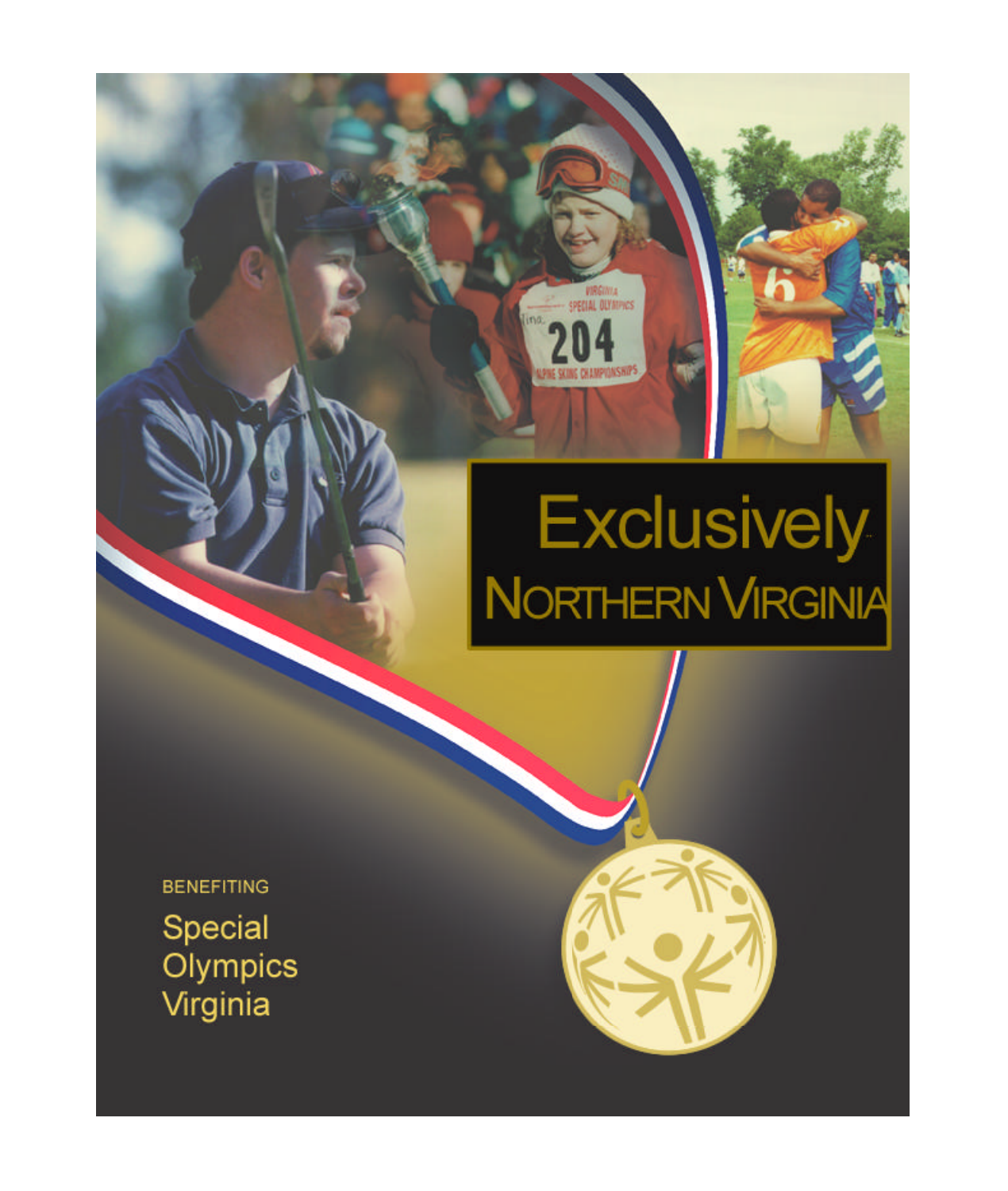## Exclusively<br>NORTHERN VIRGINIA

VIRGINIA<br>SPECIAL DEVANINGS

ma

**BENEFITING** Special Olympics Virginia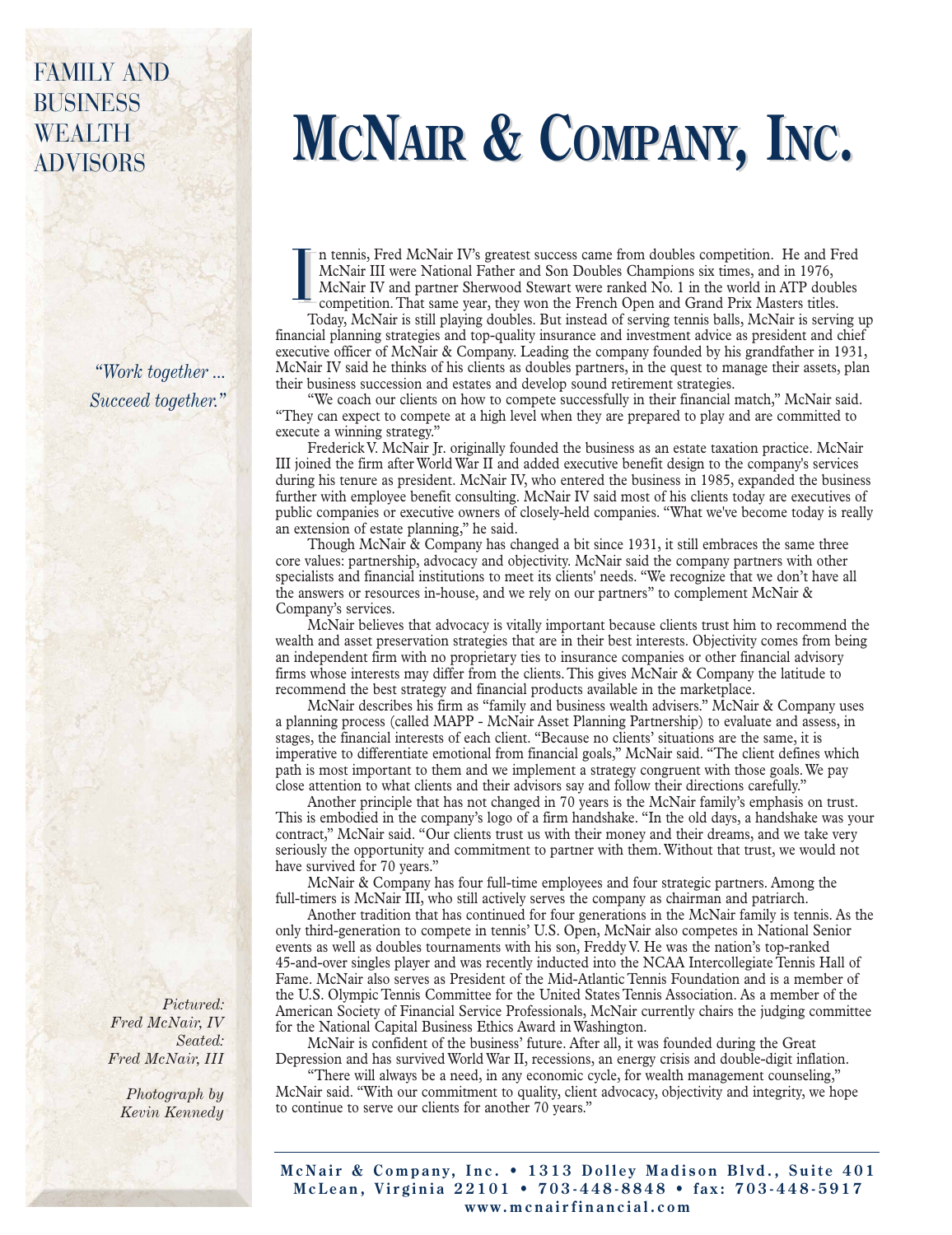## FAMILY AND BUSINESS WEALTH

*"Work together ... Succeed together."*

> *Pictured: Fred McNair, IV Seated: Fred McNair, III*

> > *Photograph by Kevin Kennedy*

## **MCNAIR & COMPANY, INC.**

n tennis, Fred McNair IV's greatest success came from doubles competition. He and Fred McNair III were National Father and Son Doubles Champions six times, and in 1976, McNair IV and partner Sherwood Stewart were ranked No. 1 in the world in ATP doubles competition. That same year, they won the French Open and Grand Prix Masters titles. I I to<br>Mc<br>Cor<br>Toda

Today, McNair is still playing doubles. But instead of serving tennis balls, McNair is serving up financial planning strategies and top-quality insurance and investment advice as president and chief executive officer of McNair & Company. Leading the company founded by his grandfather in 1931, McNair IV said he thinks of his clients as doubles partners, in the quest to manage their assets, plan their business succession and estates and develop sound retirement strategies.

"We coach our clients on how to compete successfully in their financial match," McNair said. "They can expect to compete at a high level when they are prepared to play and are committed to execute a winning strategy."

Frederick V. McNair Jr. originally founded the business as an estate taxation practice. McNair III joined the firm after World War II and added executive benefit design to the company's services during his tenure as president. McNair IV, who entered the business in 1985, expanded the business further with employee benefit consulting. McNair IV said most of his clients today are executives of public companies or executive owners of closely-held companies. "What we've become today is really an extension of estate planning," he said.

Though McNair & Company has changed a bit since 1931, it still embraces the same three core values: partnership, advocacy and objectivity. McNair said the company partners with other specialists and financial institutions to meet its clients' needs. "We recognize that we don't have all the answers or resources in-house, and we rely on our partners" to complement McNair & Company's services.

McNair believes that advocacy is vitally important because clients trust him to recommend the wealth and asset preservation strategies that are in their best interests. Objectivity comes from being an independent firm with no proprietary ties to insurance companies or other financial advisory firms whose interests may differ from the clients. This gives McNair & Company the latitude to recommend the best strategy and financial products available in the marketplace.

McNair describes his firm as "family and business wealth advisers." McNair & Company uses a planning process (called MAPP - McNair Asset Planning Partnership) to evaluate and assess, in stages, the financial interests of each client. "Because no clients' situations are the same, it is imperative to differentiate emotional from financial goals," McNair said. "The client defines which path is most important to them and we implement a strategy congruent with those goals. We pay close attention to what clients and their advisors say and follow their directions carefully."

Another principle that has not changed in 70 years is the McNair family's emphasis on trust. This is embodied in the company's logo of a firm handshake. "In the old days, a handshake was your contract," McNair said. "Our clients trust us with their money and their dreams, and we take very seriously the opportunity and commitment to partner with them. Without that trust, we would not have survived for 70 years."

McNair & Company has four full-time employees and four strategic partners. Among the full-timers is McNair III, who still actively serves the company as chairman and patriarch.

Another tradition that has continued for four generations in the McNair family is tennis. As the only third-generation to compete in tennis' U.S. Open, McNair also competes in National Senior events as well as doubles tournaments with his son, Freddy V. He was the nation's top-ranked 45-and-over singles player and was recently inducted into the NCAA Intercollegiate Tennis Hall of Fame. McNair also serves as President of the Mid-Atlantic Tennis Foundation and is a member of the U.S. Olympic Tennis Committee for the United States Tennis Association. As a member of the American Society of Financial Service Professionals, McNair currently chairs the judging committee for the National Capital Business Ethics Award in Washington.

McNair is confident of the business' future. After all, it was founded during the Great Depression and has survived World War II, recessions, an energy crisis and double-digit inflation.

"There will always be a need, in any economic cycle, for wealth management counseling," McNair said. "With our commitment to quality, client advocacy, objectivity and integrity, we hope to continue to serve our clients for another 70 years."

**McNair & Company, Inc. • 1313 Dolley Madison Blvd., Suite 401 McLean, Virginia 22101 • 703-448-8848 • fax: 703-448-5917 www.mcnairfinancial.com**